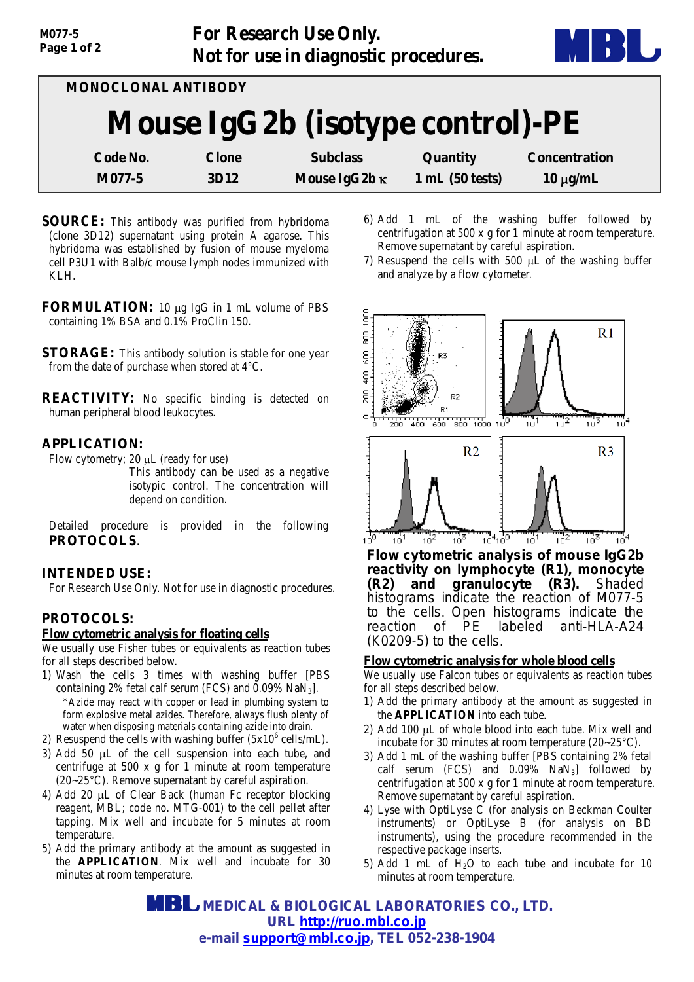| MONOCLONAL ANTIBODY              |              |                      |                 |                      |  |
|----------------------------------|--------------|----------------------|-----------------|----------------------|--|
| Mouse IgG2b (isotype control)-PE |              |                      |                 |                      |  |
| Code No.                         | <b>Clone</b> | <b>Subclass</b>      | <b>Quantity</b> | <b>Concentration</b> |  |
| M077-5                           | <b>3D12</b>  | Mouse IgG2b $\kappa$ | 1 mL(50 tests)  | $10 \mu g/mL$        |  |

- **SOURCE:** This antibody was purified from hybridoma (clone 3D12) supernatant using protein A agarose. This hybridoma was established by fusion of mouse myeloma cell P3U1 with Balb/c mouse lymph nodes immunized with KLH.
- **FORMULATION:** 10 µg IgG in 1 mL volume of PBS containing 1% BSA and 0.1% ProClin 150.
- **STORAGE:** This antibody solution is stable for one year from the date of purchase when stored at 4°C.
- **REACTIVITY:** No specific binding is detected on human peripheral blood leukocytes.

# **APPLICATION:**

Flow cytometry; 20 µL (ready for use)

This antibody can be used as a negative isotypic control. The concentration will depend on condition.

Detailed procedure is provided in the following **PROTOCOLS**.

## **INTENDED USE:**

For Research Use Only. Not for use in diagnostic procedures.

## **PROTOCOLS:**

### **Flow cytometric analysis for floating cells**

We usually use Fisher tubes or equivalents as reaction tubes for all steps described below.

- 1) Wash the cells 3 times with washing buffer [PBS containing 2% fetal calf serum (FCS) and  $0.09\%$  NaN<sub>3</sub>]. \*Azide may react with copper or lead in plumbing system to form explosive metal azides. Therefore, always flush plenty of water when disposing materials containing azide into drain.
- 2) Resuspend the cells with washing buffer  $(5x10^6 \text{ cells/mL})$ .
- 3) Add 50 µL of the cell suspension into each tube, and centrifuge at 500 x g for 1 minute at room temperature (20~25°C). Remove supernatant by careful aspiration.
- 4) Add 20 µL of Clear Back (human Fc receptor blocking reagent, MBL; code no. MTG-001) to the cell pellet after tapping. Mix well and incubate for 5 minutes at room temperature.
- 5) Add the primary antibody at the amount as suggested in the **APPLICATION**. Mix well and incubate for 30 minutes at room temperature.
- 6) Add 1 mL of the washing buffer followed by centrifugation at 500 x g for 1 minute at room temperature. Remove supernatant by careful aspiration.
- 7) Resuspend the cells with 500 µL of the washing buffer and analyze by a flow cytometer.



*Flow cytometric analysis of mouse IgG2b reactivity on lymphocyte (R1), monocyte (R2)* and granulocyte *(R3)*. *histograms indicate the reaction of M077-5 to the cells. Open histograms indicate the reaction of PE labeled anti-HLA-A24 (K0209-5) to the cells.* 

### **Flow cytometric analysis for whole blood cells**

We usually use Falcon tubes or equivalents as reaction tubes for all steps described below.

- 1) Add the primary antibody at the amount as suggested in the **APPLICATION** into each tube.
- 2) Add 100 µL of whole blood into each tube. Mix well and incubate for 30 minutes at room temperature (20~25°C).
- 3) Add 1 mL of the washing buffer [PBS containing 2% fetal calf serum (FCS) and  $0.09\%$  NaN<sub>3</sub>] followed by centrifugation at 500 x g for 1 minute at room temperature. Remove supernatant by careful aspiration.
- 4) Lyse with OptiLyse C (for analysis on Beckman Coulter instruments) or OptiLyse B (for analysis on BD instruments), using the procedure recommended in the respective package inserts.
- 5) Add 1 mL of  $H<sub>2</sub>O$  to each tube and incubate for 10 minutes at room temperature.

 **MEDICAL & BIOLOGICAL LABORATORIES CO., LTD. URL [http://ruo.mbl.co.jp](http://ruo.mbl.co.jp/) e-mail support@mbl.co.jp, TEL 052-238-1904**